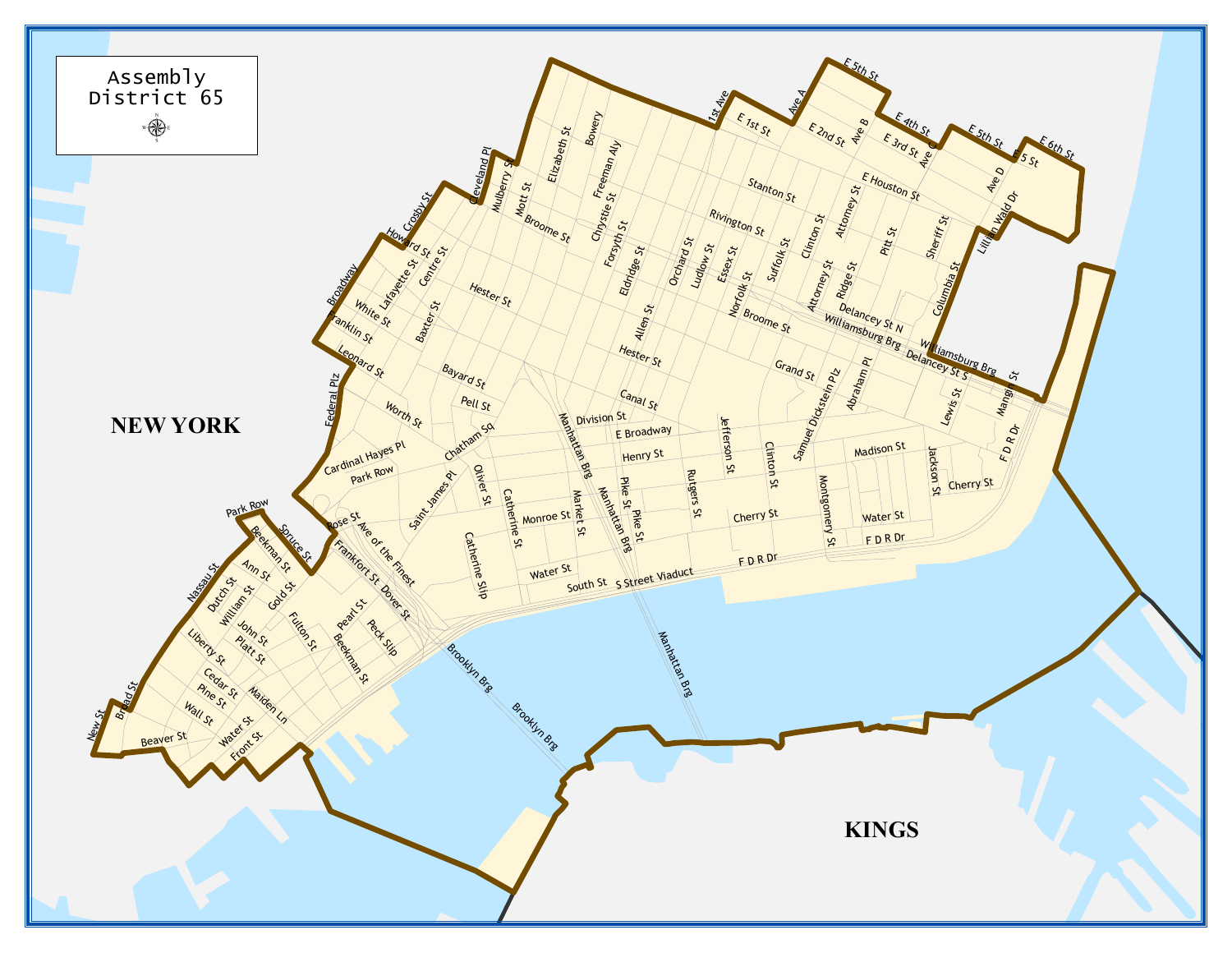